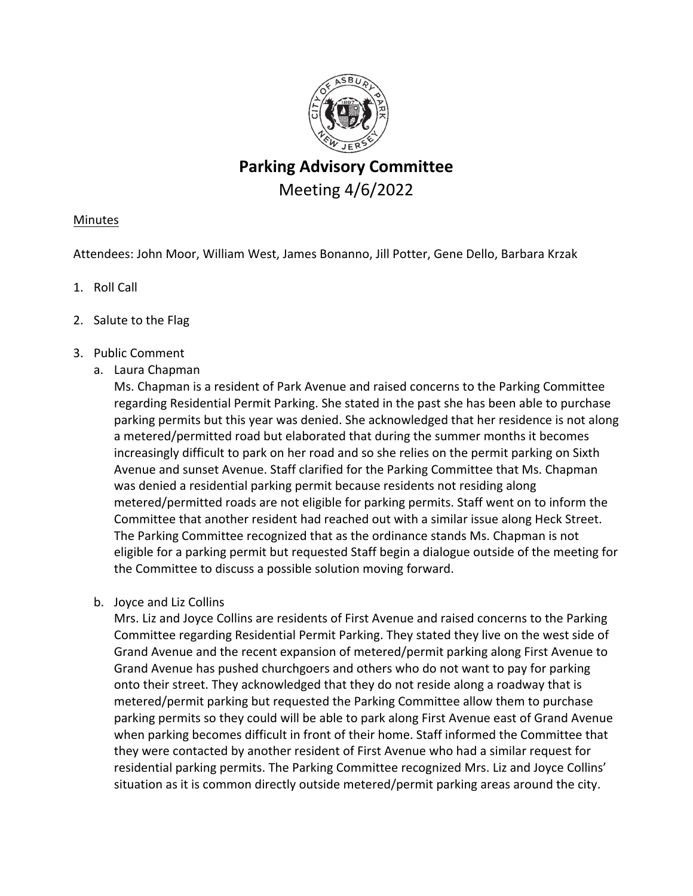

# **Parking Advisory Committee** Meeting 4/6/2022

# **Minutes**

Attendees: John Moor, William West, James Bonanno, Jill Potter, Gene Dello, Barbara Krzak

- 1. Roll Call
- 2. Salute to the Flag
- 3. Public Comment
	- a. Laura Chapman

Ms. Chapman is a resident of Park Avenue and raised concerns to the Parking Committee regarding Residential Permit Parking. She stated in the past she has been able to purchase parking permits but this year was denied. She acknowledged that her residence is not along a metered/permitted road but elaborated that during the summer months it becomes increasingly difficult to park on her road and so she relies on the permit parking on Sixth Avenue and sunset Avenue. Staff clarified for the Parking Committee that Ms. Chapman was denied a residential parking permit because residents not residing along metered/permitted roads are not eligible for parking permits. Staff went on to inform the Committee that another resident had reached out with a similar issue along Heck Street. The Parking Committee recognized that as the ordinance stands Ms. Chapman is not eligible for a parking permit but requested Staff begin a dialogue outside of the meeting for the Committee to discuss a possible solution moving forward.

b. Joyce and Liz Collins

Mrs. Liz and Joyce Collins are residents of First Avenue and raised concerns to the Parking Committee regarding Residential Permit Parking. They stated they live on the west side of Grand Avenue and the recent expansion of metered/permit parking along First Avenue to Grand Avenue has pushed churchgoers and others who do not want to pay for parking onto their street. They acknowledged that they do not reside along a roadway that is metered/permit parking but requested the Parking Committee allow them to purchase parking permits so they could will be able to park along First Avenue east of Grand Avenue when parking becomes difficult in front of their home. Staff informed the Committee that they were contacted by another resident of First Avenue who had a similar request for residential parking permits. The Parking Committee recognized Mrs. Liz and Joyce Collins' situation as it is common directly outside metered/permit parking areas around the city.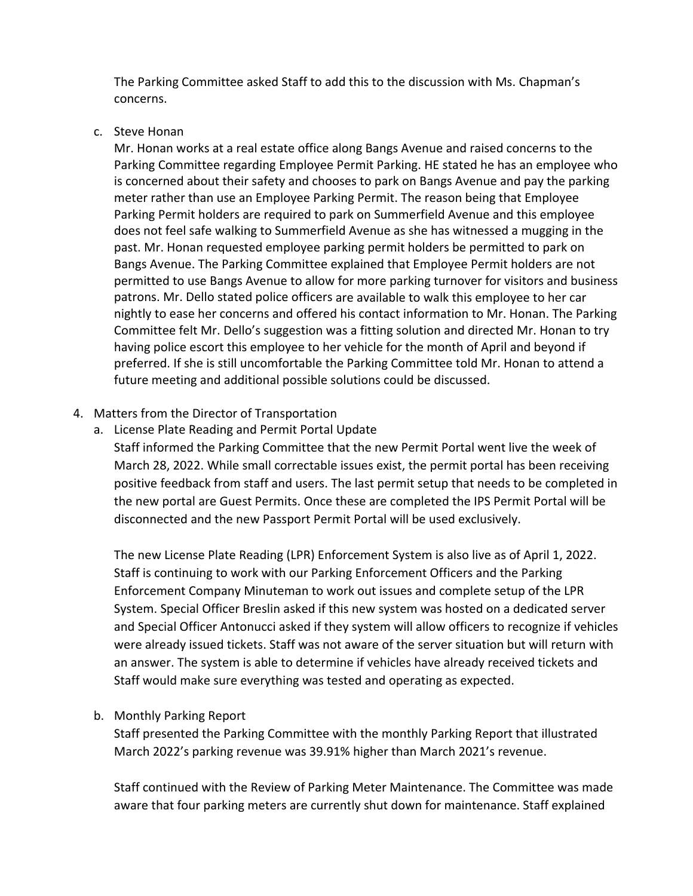The Parking Committee asked Staff to add this to the discussion with Ms. Chapman's concerns.

#### c. Steve Honan

Mr. Honan works at a real estate office along Bangs Avenue and raised concerns to the Parking Committee regarding Employee Permit Parking. HE stated he has an employee who is concerned about their safety and chooses to park on Bangs Avenue and pay the parking meter rather than use an Employee Parking Permit. The reason being that Employee Parking Permit holders are required to park on Summerfield Avenue and this employee does not feel safe walking to Summerfield Avenue as she has witnessed a mugging in the past. Mr. Honan requested employee parking permit holders be permitted to park on Bangs Avenue. The Parking Committee explained that Employee Permit holders are not permitted to use Bangs Avenue to allow for more parking turnover for visitors and business patrons. Mr. Dello stated police officers are available to walk this employee to her car nightly to ease her concerns and offered his contact information to Mr. Honan. The Parking Committee felt Mr. Dello's suggestion was a fitting solution and directed Mr. Honan to try having police escort this employee to her vehicle for the month of April and beyond if preferred. If she is still uncomfortable the Parking Committee told Mr. Honan to attend a future meeting and additional possible solutions could be discussed.

# 4. Matters from the Director of Transportation

a. License Plate Reading and Permit Portal Update

Staff informed the Parking Committee that the new Permit Portal went live the week of March 28, 2022. While small correctable issues exist, the permit portal has been receiving positive feedback from staff and users. The last permit setup that needs to be completed in the new portal are Guest Permits. Once these are completed the IPS Permit Portal will be disconnected and the new Passport Permit Portal will be used exclusively.

The new License Plate Reading (LPR) Enforcement System is also live as of April 1, 2022. Staff is continuing to work with our Parking Enforcement Officers and the Parking Enforcement Company Minuteman to work out issues and complete setup of the LPR System. Special Officer Breslin asked if this new system was hosted on a dedicated server and Special Officer Antonucci asked if they system will allow officers to recognize if vehicles were already issued tickets. Staff was not aware of the server situation but will return with an answer. The system is able to determine if vehicles have already received tickets and Staff would make sure everything was tested and operating as expected.

# b. Monthly Parking Report

Staff presented the Parking Committee with the monthly Parking Report that illustrated March 2022's parking revenue was 39.91% higher than March 2021's revenue.

Staff continued with the Review of Parking Meter Maintenance. The Committee was made aware that four parking meters are currently shut down for maintenance. Staff explained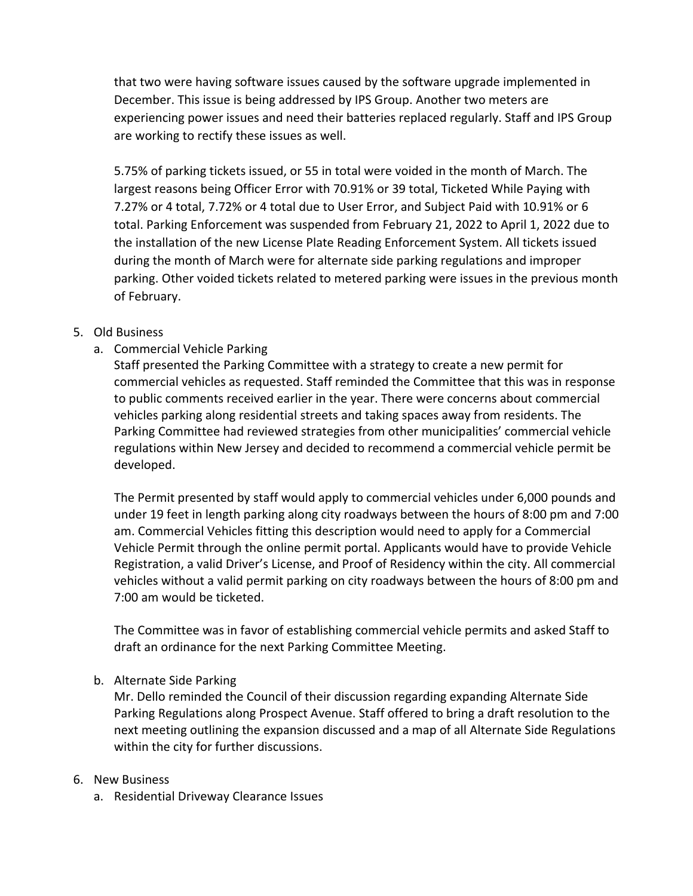that two were having software issues caused by the software upgrade implemented in December. This issue is being addressed by IPS Group. Another two meters are experiencing power issues and need their batteries replaced regularly. Staff and IPS Group are working to rectify these issues as well.

5.75% of parking tickets issued, or 55 in total were voided in the month of March. The largest reasons being Officer Error with 70.91% or 39 total, Ticketed While Paying with 7.27% or 4 total, 7.72% or 4 total due to User Error, and Subject Paid with 10.91% or 6 total. Parking Enforcement was suspended from February 21, 2022 to April 1, 2022 due to the installation of the new License Plate Reading Enforcement System. All tickets issued during the month of March were for alternate side parking regulations and improper parking. Other voided tickets related to metered parking were issues in the previous month of February.

# 5. Old Business

a. Commercial Vehicle Parking

Staff presented the Parking Committee with a strategy to create a new permit for commercial vehicles as requested. Staff reminded the Committee that this was in response to public comments received earlier in the year. There were concerns about commercial vehicles parking along residential streets and taking spaces away from residents. The Parking Committee had reviewed strategies from other municipalities' commercial vehicle regulations within New Jersey and decided to recommend a commercial vehicle permit be developed.

The Permit presented by staff would apply to commercial vehicles under 6,000 pounds and under 19 feet in length parking along city roadways between the hours of 8:00 pm and 7:00 am. Commercial Vehicles fitting this description would need to apply for a Commercial Vehicle Permit through the online permit portal. Applicants would have to provide Vehicle Registration, a valid Driver's License, and Proof of Residency within the city. All commercial vehicles without a valid permit parking on city roadways between the hours of 8:00 pm and 7:00 am would be ticketed.

The Committee was in favor of establishing commercial vehicle permits and asked Staff to draft an ordinance for the next Parking Committee Meeting.

#### b. Alternate Side Parking

Mr. Dello reminded the Council of their discussion regarding expanding Alternate Side Parking Regulations along Prospect Avenue. Staff offered to bring a draft resolution to the next meeting outlining the expansion discussed and a map of all Alternate Side Regulations within the city for further discussions.

#### 6. New Business

a. Residential Driveway Clearance Issues